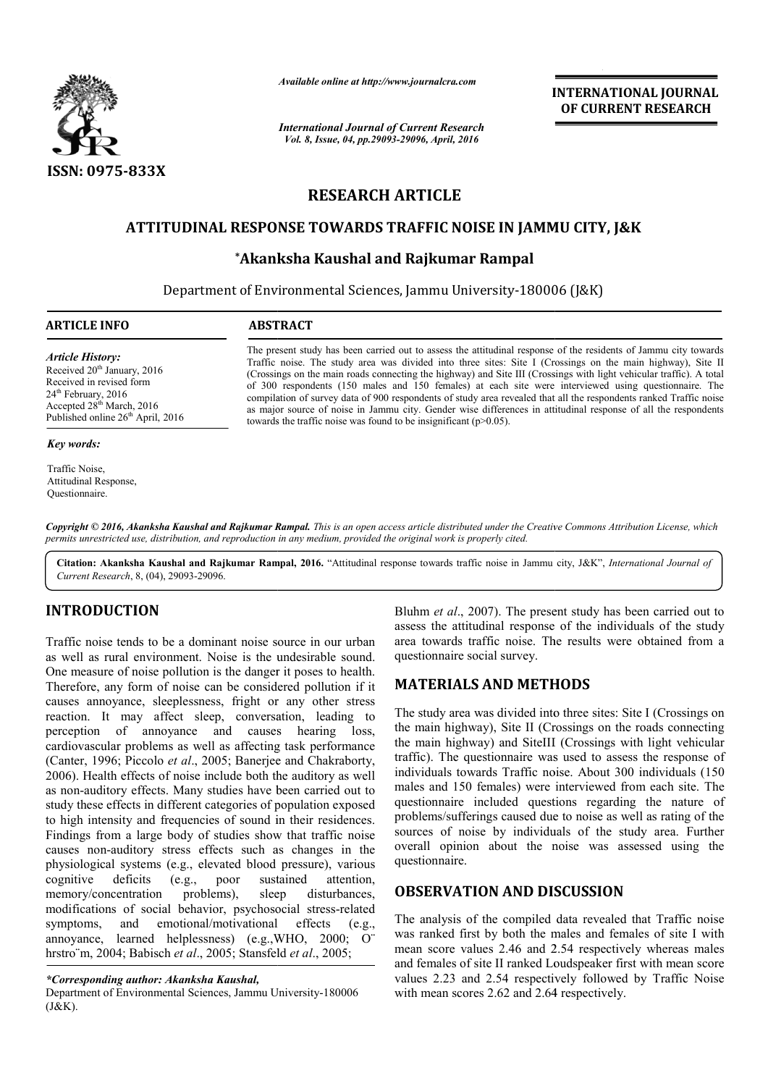

*Available online at http://www.journalcra.com*

*International Journal of Current Research Vol. 8, Issue, 04, pp.29093-29096, April, 2016*

**INTERNATIONAL JOURNAL OF CURRENT RESEARCH** 

# **RESEARCH ARTICLE**

# **ATTITUDINAL RESPONSE TOWARDS TRAFFIC NOISE IN JAMMU CITY, J&K IN JAMMU**

# **\*Akanksha Kaushal and Rajkumar Rampal Akanksha**

Department of Environmental Sciences, Jammu University-180006 (J&K)

| <b>ARTICLE INFO</b>                                                                                                                                                                    | <b>ABSTRACT</b>                                                                                                                                                                                                                                                                                                                                                                                                                                                                                                                                                                                                                                                                                                                                                                 |
|----------------------------------------------------------------------------------------------------------------------------------------------------------------------------------------|---------------------------------------------------------------------------------------------------------------------------------------------------------------------------------------------------------------------------------------------------------------------------------------------------------------------------------------------------------------------------------------------------------------------------------------------------------------------------------------------------------------------------------------------------------------------------------------------------------------------------------------------------------------------------------------------------------------------------------------------------------------------------------|
| Article History:<br>Received $20th$ January, 2016<br>Received in revised form<br>$24th$ February, 2016<br>Accepted $28th$ March, 2016<br>Published online 26 <sup>th</sup> April, 2016 | The present study has been carried out to assess the attitudinal response of the residents of Jammu city towards<br>Traffic noise. The study area was divided into three sites: Site I (Crossings on the main highway), Site II<br>(Crossings on the main roads connecting the highway) and Site III (Crossings with light vehicular traffic). A total<br>of 300 respondents (150 males and 150 females) at each site were interviewed using questionnaire. The<br>compilation of survey data of 900 respondents of study area revealed that all the respondents ranked Traffic noise<br>as major source of noise in Jammu city. Gender wise differences in attitudinal response of all the respondents<br>towards the traffic noise was found to be insignificant $(p>0.05)$ . |

#### *Key words:*

Traffic Noise, Attitudinal Response, Questionnaire.

Copyright © 2016, Akanksha Kaushal and Rajkumar Rampal. This is an open access article distributed under the Creative Commons Attribution License, which *permits unrestricted use, distribution, and reproduction in any medium, provided the original work is properly cited.*

Citation: Akanksha Kaushal and Rajkumar Rampal, 2016. "Attitudinal response towards traffic noise in Jammu city, J&K", *International Journal of Current Research*, 8, (04), 29093-29096.

## **INTRODUCTION**

Traffic noise tends to be a dominant noise source in our urban as well as rural environment. Noise is the undesirable sound. One measure of noise pollution is the danger it poses to health. Therefore, any form of noise can be considered pollution if it causes annoyance, sleeplessness, fright or any other stress reaction. It may affect sleep, conversation, leading to perception of annoyance and causes hearing loss, cardiovascular problems as well as affecting task performance (Canter, 1996; Piccolo *et al*., 2005; Banerjee and Chakraborty, 2006). Health effects of noise include both the auditory as well as non-auditory effects. Many studies have been carried out to study these effects in different categories of population exposed to high intensity and frequencies of sound in their residences. Findings from a large body of studies show that traffic noise causes non-auditory stress effects such as changes in the physiological systems (e.g., elevated blood pressure), various cognitive deficits (e.g., poor sustained attention, memory/concentration problems), sleep disturbances, modifications of social behavior, psychosocial stress symptoms, and emotional/motivational effects annoyance, learned helplessness) (e.g.,WHO, 2000; O¨ hrstro¨m, 2004; Babisch *et al*., 2005; Stansfeld *et al*., 2005; ption of annoyance and causes hearing loss,<br>ovascular problems as well as affecting task performance<br>er, 1996; Piccolo *et al.*, 2005; Banerjee and Chakraborty,<br>0. Health effects of noise include both the auditory as well<br> (e.g.,

Bluhm *et al*., 2007). The present study has been carried out to assess the attitudinal response of the individuals of the study Bluhm *et al.*, 2007). The present study has been carried out to assess the attitudinal response of the individuals of the study area towards traffic noise. The results were obtained from a questionnaire social survey.

## **MATERIALS AND METHODS METHODS**

The study area was divided into three sites: Site I (Crossings on the main highway), Site II (Crossings on the roads connecting the main highway) and SiteIII (Crossings with light vehicular The study area was divided into three sites: Site I (Crossings on the main highway), Site II (Crossings on the roads connecting the main highway) and SiteIII (Crossings with light vehicular traffic). The questionnaire was individuals towards Traffic noise Traffic noise. About 300 individuals (150 males and 150 females) were interviewed from each site. The questionnaire included questions regarding the nature of problems/sufferings caused due to noise as well as ra sources of noise by individuals of the study area. Further overall opinion about the noise was assessed using the questionnaire. males and 150 females) were interviewed from each site. The questionnaire included questions regarding the nature of problems/sufferings caused due to noise as well as rating of the **INTERNATIONAL JOURNAL THERNATION (SET AND ASSEMBLY ATTENDATION AT THE RESPECTIVE APPLE THE CONSULTS (SET AND RESPECTIVELY AND RESPECTIVELY AND RESPECTIVELY AND INTERNATION (SET AND RESPECTIVELY) SENDING the and respectiv** 

## **OBSERVATION AND DISCUSSION DISCUSSION**

The analysis of the compiled data revealed that Traffic noise was ranked first by both the males and females of site I with mean score values 2.46 and 2.54 respectively whereas males and females of site II ranked Loudspeaker first with mean score values 2.23 and 2.54 respectively followed by Traffic Noise with mean scores 2.62 and 2.64 respectively.

*<sup>\*</sup>Corresponding author: Akanksha Kaushal,*

Department of Environmental Sciences, Jammu University University-180006 (J&K).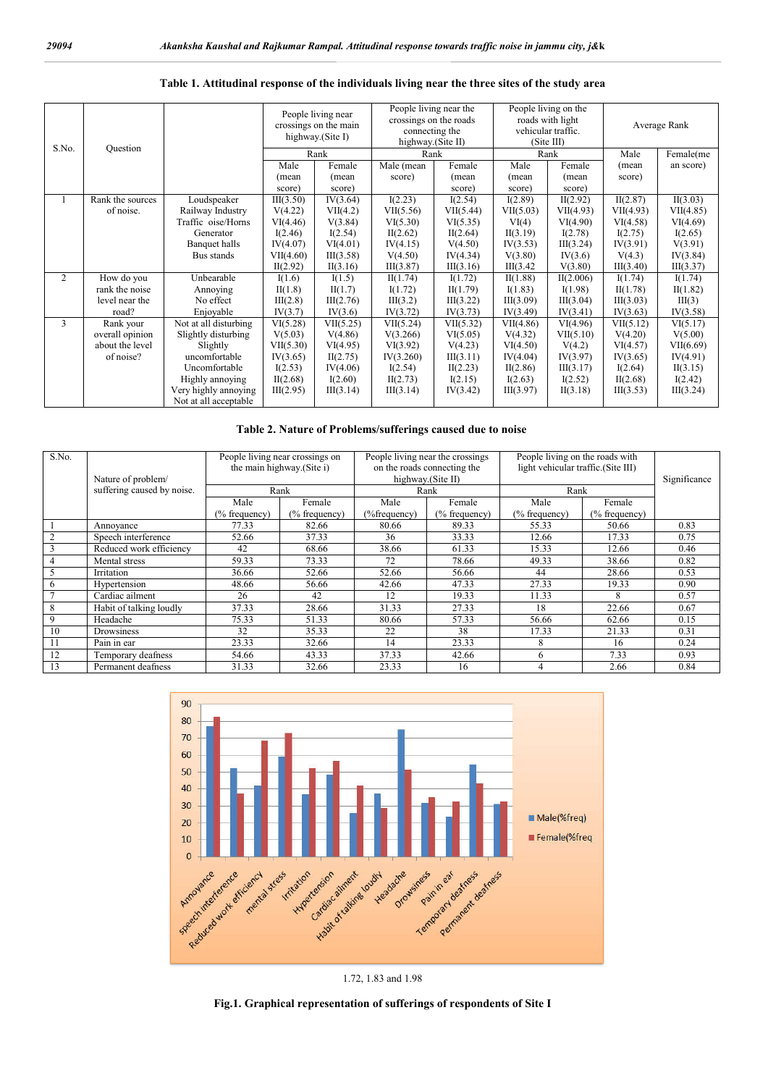| S.No. | Question         |                       | People living near<br>crossings on the main<br>highway. $(Site I)$ |           | People living near the<br>crossings on the roads<br>connecting the<br>highway.(Site II) |           | People living on the<br>roads with light<br>vehicular traffic.<br>(Site III) |           | Average Rank |           |
|-------|------------------|-----------------------|--------------------------------------------------------------------|-----------|-----------------------------------------------------------------------------------------|-----------|------------------------------------------------------------------------------|-----------|--------------|-----------|
|       |                  |                       | Rank                                                               |           | Rank                                                                                    |           | Rank                                                                         |           | Male         | Female(me |
|       |                  |                       | Male                                                               | Female    | Male (mean                                                                              | Female    | Male                                                                         | Female    | (mean        | an score) |
|       |                  |                       | (mean                                                              | (mean     | score)                                                                                  | (mean     | (mean                                                                        | (mean     | score)       |           |
|       |                  |                       | score)                                                             | score)    |                                                                                         | score)    | score)                                                                       | score)    |              |           |
|       | Rank the sources | Loudspeaker           | III(3.50)                                                          | IV(3.64)  | I(2.23)                                                                                 | I(2.54)   | I(2.89)                                                                      | II(2.92)  | II(2.87)     | II(3.03)  |
|       | of noise.        | Railway Industry      | V(4.22)                                                            | VII(4.2)  | VII(5.56)                                                                               | VII(5.44) | VII(5.03)                                                                    | VII(4.93) | VII(4.93)    | VII(4.85) |
|       |                  | Traffic oise/Horns    | VI(4.46)                                                           | V(3.84)   | VI(5.30)                                                                                | VI(5.35)  | VI(4)                                                                        | VI(4.90)  | VI(4.58)     | VI(4.69)  |
|       |                  | Generator             | I(2.46)                                                            | I(2.54)   | II(2.62)                                                                                | II(2.64)  | II(3.19)                                                                     | I(2.78)   | I(2.75)      | I(2.65)   |
|       |                  | Banquet halls         | IV(4.07)                                                           | VI(4.01)  | IV(4.15)                                                                                | V(4.50)   | IV(3.53)                                                                     | III(3.24) | IV(3.91)     | V(3.91)   |
|       |                  | Bus stands            | VII(4.60)                                                          | III(3.58) | V(4.50)                                                                                 | IV(4.34)  | V(3.80)                                                                      | IV(3.6)   | V(4.3)       | IV(3.84)  |
|       |                  |                       | II(2.92)                                                           | II(3.16)  | III(3.87)                                                                               | III(3.16) | III(3.42)                                                                    | V(3.80)   | III(3.40)    | III(3.37) |
| 2     | How do you       | Unbearable            | I(1.6)                                                             | I(1.5)    | II(1.74)                                                                                | I(1.72)   | II(1.88)                                                                     | II(2.006) | I(1.74)      | I(1.74)   |
|       | rank the noise   | Annoying              | II(1.8)                                                            | II(1.7)   | I(1.72)                                                                                 | II(1.79)  | I(1.83)                                                                      | I(1.98)   | II(1.78)     | II(1.82)  |
|       | level near the   | No effect             | III(2.8)                                                           | III(2.76) | III(3.2)                                                                                | III(3.22) | III(3.09)                                                                    | III(3.04) | III(3.03)    | III(3)    |
|       | road?            | Enjoyable             | IV(3.7)                                                            | IV(3.6)   | IV(3.72)                                                                                | IV(3.73)  | IV(3.49)                                                                     | IV(3.41)  | IV(3.63)     | IV(3.58)  |
| 3     | Rank your        | Not at all disturbing | VI(5.28)                                                           | VII(5.25) | VII(5.24)                                                                               | VII(5.32) | VII(4.86)                                                                    | VI(4.96)  | VII(5.12)    | VI(5.17)  |
|       | overall opinion  | Slightly disturbing   | V(5.03)                                                            | V(4.86)   | V(3.266)                                                                                | VI(5.05)  | V(4.32)                                                                      | VII(5.10) | V(4.20)      | V(5.00)   |
|       | about the level  | Slightly              | VII(5.30)                                                          | VI(4.95)  | VI(3.92)                                                                                | V(4.23)   | VI(4.50)                                                                     | V(4.2)    | VI(4.57)     | VII(6.69) |
|       | of noise?        | uncomfortable         | IV(3.65)                                                           | II(2.75)  | IV(3.260)                                                                               | III(3.11) | IV(4.04)                                                                     | IV(3.97)  | IV(3.65)     | IV(4.91)  |
|       |                  | Uncomfortable         | I(2.53)                                                            | IV(4.06)  | I(2.54)                                                                                 | II(2.23)  | II(2.86)                                                                     | III(3.17) | I(2.64)      | II(3.15)  |
|       |                  | Highly annoying       | II(2.68)                                                           | I(2.60)   | II(2.73)                                                                                | I(2.15)   | I(2.63)                                                                      | I(2.52)   | II(2.68)     | I(2.42)   |
|       |                  | Very highly annoying  | III(2.95)                                                          | III(3.14) | III(3.14)                                                                               | IV(3.42)  | III(3.97)                                                                    | II(3.18)  | III(3.53)    | III(3.24) |
|       |                  | Not at all acceptable |                                                                    |           |                                                                                         |           |                                                                              |           |              |           |

#### **Table 1. Attitudinal response of the individuals living near the three sites of the study area**

### **Table 2. Nature of Problems/sufferings caused due to noise**

| S.No.          |                                                  | People living near crossings on<br>the main highway.(Site i) |               | People living near the crossings<br>on the roads connecting the | People living on the roads with<br>light vehicular traffic.(Site III) |                |               |      |
|----------------|--------------------------------------------------|--------------------------------------------------------------|---------------|-----------------------------------------------------------------|-----------------------------------------------------------------------|----------------|---------------|------|
|                | Nature of problem/<br>suffering caused by noise. | Rank                                                         |               |                                                                 | highway.(Site II)<br>Rank                                             | Rank           | Significance  |      |
|                |                                                  |                                                              |               |                                                                 |                                                                       |                |               |      |
|                |                                                  | Male                                                         | Female        | Male                                                            | Female                                                                | Male           | Female        |      |
|                |                                                  | (% frequency)                                                | (% frequency) | (%frequency)                                                    | $(\%$ frequency)                                                      | $%$ frequency) | (% frequency) |      |
|                | Annoyance                                        | 77.33                                                        | 82.66         | 80.66                                                           | 89.33                                                                 | 55.33          | 50.66         | 0.83 |
| $\overline{2}$ | Speech interference                              | 52.66                                                        | 37.33         | 36                                                              | 33.33                                                                 | 12.66          | 17.33         | 0.75 |
| 3              | Reduced work efficiency                          | 42                                                           | 68.66         | 38.66                                                           | 61.33                                                                 | 15.33          | 12.66         | 0.46 |
| $\overline{4}$ | Mental stress                                    | 59.33                                                        | 73.33         | 72                                                              | 78.66                                                                 | 49.33          | 38.66         | 0.82 |
| 5              | Irritation                                       | 36.66                                                        | 52.66         | 52.66                                                           | 56.66                                                                 | 44             | 28.66         | 0.53 |
| 6              | Hypertension                                     | 48.66                                                        | 56.66         | 42.66                                                           | 47.33                                                                 | 27.33          | 19.33         | 0.90 |
| $\overline{7}$ | Cardiac ailment                                  | 26                                                           | 42            | 12                                                              | 19.33                                                                 | 11.33          | 8             | 0.57 |
| 8              | Habit of talking loudly                          | 37.33                                                        | 28.66         | 31.33                                                           | 27.33                                                                 | 18             | 22.66         | 0.67 |
| 9              | Headache                                         | 75.33                                                        | 51.33         | 80.66                                                           | 57.33                                                                 | 56.66          | 62.66         | 0.15 |
| 10             | Drowsiness                                       | 32                                                           | 35.33         | 22                                                              | 38                                                                    | 17.33          | 21.33         | 0.31 |
| 11             | Pain in ear                                      | 23.33                                                        | 32.66         | 14                                                              | 23.33                                                                 | 8              | 16            | 0.24 |
| 12             | Temporary deafness                               | 54.66                                                        | 43.33         | 37.33                                                           | 42.66                                                                 | h              | 7.33          | 0.93 |
| 13             | Permanent deafness                               | 31.33                                                        | 32.66         | 23.33                                                           | 16                                                                    |                | 2.66          | 0.84 |



1.72, 1.83 and 1.98

**Fig.1. Graphical representation of sufferings of respondents of Site I**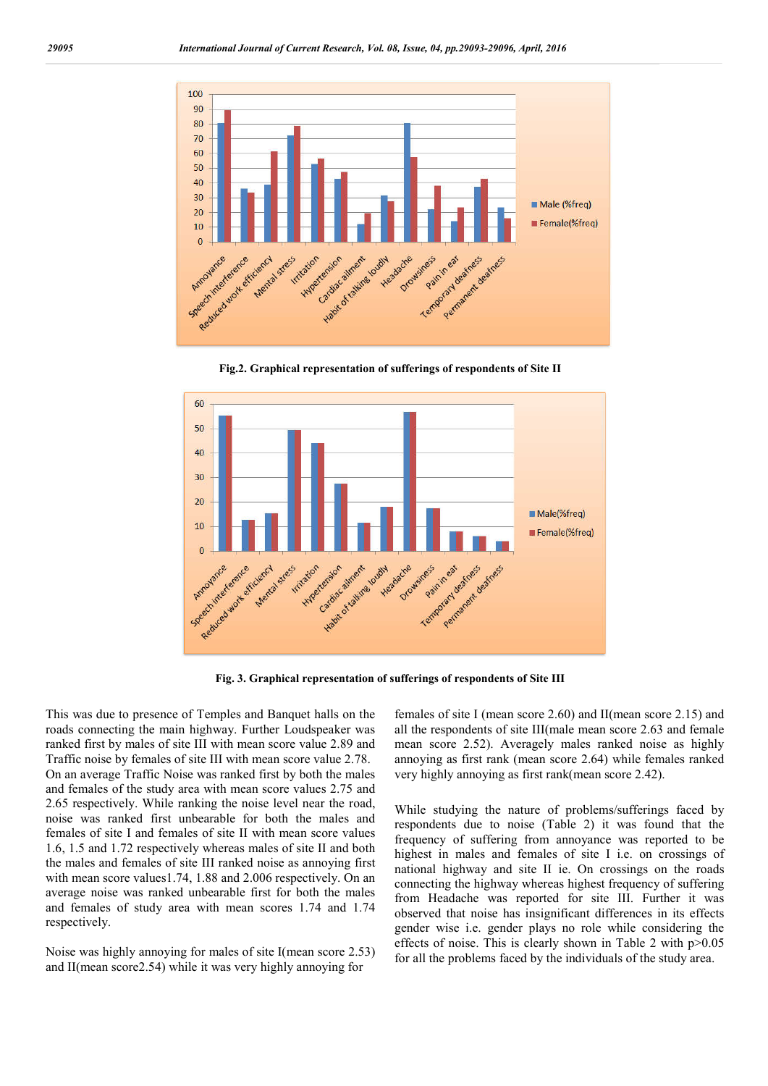

**Fig.2. Graphical representation of sufferings of respondents of Site II**



**Fig. 3. Graphical representation of sufferings of respondents of Site III**

This was due to presence of Temples and Banquet halls on the roads connecting the main highway. Further Loudspeaker was ranked first by males of site III with mean score value 2.89 and Traffic noise by females of site III with mean score value 2.78. On an average Traffic Noise was ranked first by both the males and females of the study area with mean score values 2.75 and 2.65 respectively. While ranking the noise level near the road, noise was ranked first unbearable for both the males and females of site I and females of site II with mean score values 1.6, 1.5 and 1.72 respectively whereas males of site II and both the males and females of site III ranked noise as annoying first with mean score values1.74, 1.88 and 2.006 respectively. On an average noise was ranked unbearable first for both the males and females of study area with mean scores 1.74 and 1.74 respectively.

Noise was highly annoying for males of site I(mean score 2.53) and II(mean score2.54) while it was very highly annoying for

females of site I (mean score 2.60) and II(mean score 2.15) and all the respondents of site III(male mean score 2.63 and female mean score 2.52). Averagely males ranked noise as highly annoying as first rank (mean score 2.64) while females ranked very highly annoying as first rank(mean score 2.42).

While studying the nature of problems/sufferings faced by respondents due to noise (Table 2) it was found that the frequency of suffering from annoyance was reported to be highest in males and females of site I i.e. on crossings of national highway and site II ie. On crossings on the roads connecting the highway whereas highest frequency of suffering from Headache was reported for site III. Further it was observed that noise has insignificant differences in its effects gender wise i.e. gender plays no role while considering the effects of noise. This is clearly shown in Table 2 with p>0.05 for all the problems faced by the individuals of the study area.